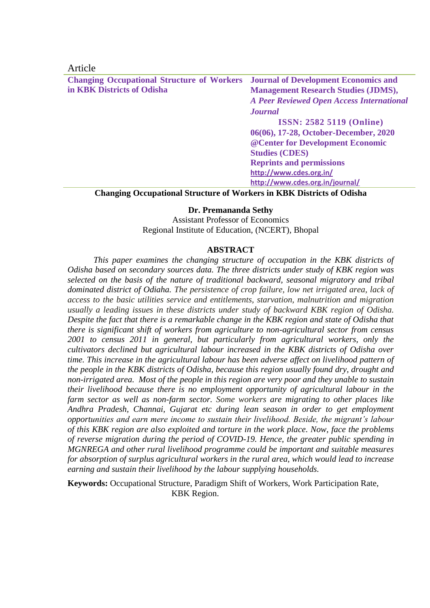# Article

**Changing Occupational Structure of Workers in KBK Districts of Odisha Journal of Development Economics and Management Research Studies (JDMS),**  *A Peer Reviewed Open Access International Journal* **ISSN: 2582 5119 (Online) 06(06), 17-28, October-December, 2020 @Center for Development Economic Studies (CDES) Reprints and permissions <http://www.cdes.org.in/> <http://www.cdes.org.in/journal/>**

## **Changing Occupational Structure of Workers in KBK Districts of Odisha**

## **Dr. Premananda Sethy**

Assistant Professor of Economics Regional Institute of Education, (NCERT), Bhopal

# **ABSTRACT**

*This paper examines the changing structure of occupation in the KBK districts of Odisha based on secondary sources data. The three districts under study of KBK region was selected on the basis of the nature of traditional backward, seasonal migratory and tribal dominated district of Odiaha. The persistence of crop failure, low net irrigated area, lack of access to the basic utilities service and entitlements, starvation, malnutrition and migration usually a leading issues in these districts under study of backward KBK region of Odisha. Despite the fact that there is a remarkable change in the KBK region and state of Odisha that there is significant shift of workers from agriculture to non-agricultural sector from census 2001 to census 2011 in general, but particularly from agricultural workers, only the cultivators declined but agricultural labour increased in the KBK districts of Odisha over time. This increase in the agricultural labour has been adverse affect on livelihood pattern of the people in the KBK districts of Odisha, because this region usually found dry, drought and non-irrigated area. Most of the people in this region are very poor and they unable to sustain their livelihood because there is no employment opportunity of agricultural labour in the farm sector as well as non-farm sector. Some workers are migrating to other places like Andhra Pradesh, Channai, Gujarat etc during lean season in order to get employment opportunities and earn mere income to sustain their livelihood. Beside, the migrant's labour of this KBK region are also exploited and torture in the work place. Now, face the problems of reverse migration during the period of COVID-19. Hence, the greater public spending in MGNREGA and other rural livelihood programme could be important and suitable measures for absorption of surplus agricultural workers in the rural area, which would lead to increase earning and sustain their livelihood by the labour supplying households.* 

**Keywords:** Occupational Structure, Paradigm Shift of Workers, Work Participation Rate, KBK Region.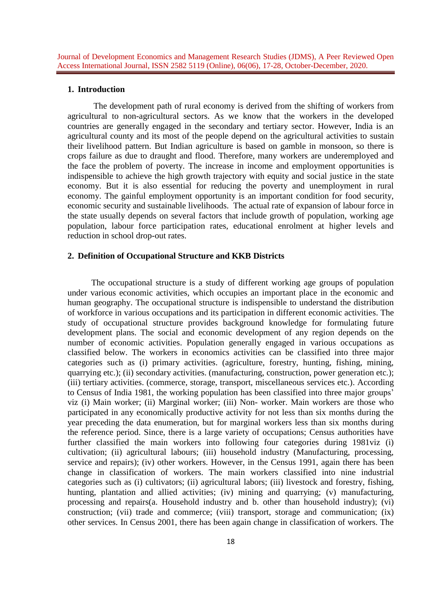#### **1. Introduction**

The development path of rural economy is derived from the shifting of workers from agricultural to non-agricultural sectors. As we know that the workers in the developed countries are generally engaged in the secondary and tertiary sector. However, India is an agricultural county and its most of the people depend on the agricultural activities to sustain their livelihood pattern. But Indian agriculture is based on gamble in monsoon, so there is crops failure as due to draught and flood. Therefore, many workers are underemployed and the face the problem of poverty. The increase in income and employment opportunities is indispensible to achieve the high growth trajectory with equity and social justice in the state economy. But it is also essential for reducing the poverty and unemployment in rural economy. The gainful employment opportunity is an important condition for food security, economic security and sustainable livelihoods. The actual rate of expansion of labour force in the state usually depends on several factors that include growth of population, working age population, labour force participation rates, educational enrolment at higher levels and reduction in school drop-out rates.

### **2. Definition of Occupational Structure and KKB Districts**

 The occupational structure is a study of different working age groups of population under various economic activities, which occupies an important place in the economic and human geography. The occupational structure is indispensible to understand the distribution of workforce in various occupations and its participation in different economic activities. The study of occupational structure provides background knowledge for formulating future development plans. The social and economic development of any region depends on the number of economic activities. Population generally engaged in various occupations as classified below. The workers in economics activities can be classified into three major categories such as (i) primary activities. (agriculture, forestry, hunting, fishing, mining, quarrying etc.); (ii) secondary activities. (manufacturing, construction, power generation etc.); (iii) tertiary activities. (commerce, storage, transport, miscellaneous services etc.). According to Census of India 1981, the working population has been classified into three major groups' viz (i) Main worker; (ii) Marginal worker; (iii) Non- worker. Main workers are those who participated in any economically productive activity for not less than six months during the year preceding the data enumeration, but for marginal workers less than six months during the reference period. Since, there is a large variety of occupations; Census authorities have further classified the main workers into following four categories during 1981viz (i) cultivation; (ii) agricultural labours; (iii) household industry (Manufacturing, processing, service and repairs); (iv) other workers. However, in the Census 1991, again there has been change in classification of workers. The main workers classified into nine industrial categories such as (i) cultivators; (ii) agricultural labors; (iii) livestock and forestry, fishing, hunting, plantation and allied activities; (iv) mining and quarrying; (v) manufacturing, processing and repairs(a. Household industry and b. other than household industry); (vi) construction; (vii) trade and commerce; (viii) transport, storage and communication; (ix) other services. In Census 2001, there has been again change in classification of workers. The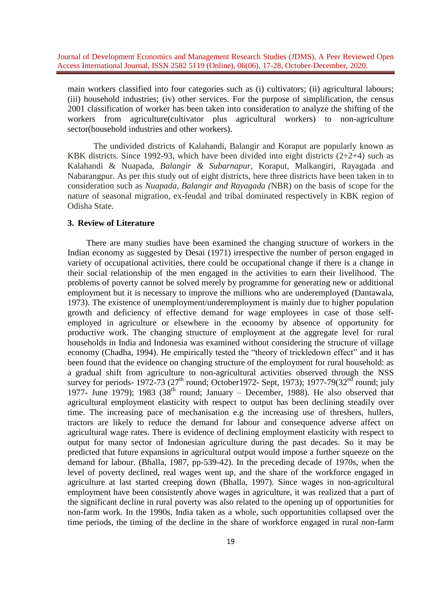main workers classified into four categories such as (i) cultivators; (ii) agricultural labours; (iii) household industries; (iv) other services. For the purpose of simplification, the census 2001 classification of worker has been taken into consideration to analyze the shifting of the workers from agriculture(cultivator plus agricultural workers) to non-agriculture sector(household industries and other workers).

The undivided districts of Kalahandi, Balangir and Koraput are popularly known as KBK districts. Since 1992-93, which have been divided into eight districts  $(2+2+4)$  such as Kalahandi & Nuapada, *Balangir & Subarnapur*, Koraput, Malkangiri, Rayagada and Nabarangpur. As per this study out of eight districts, here three districts have been taken in to consideration such as *Nuapada, Balangir and Rayagada (*NBR) on the basis of scope for the nature of seasonal migration, ex-feudal and tribal dominated respectively in KBK region of Odisha State.

### **3. Review of Literature**

 There are many studies have been examined the changing structure of workers in the Indian economy as suggested by Desai (1971) irrespective the number of person engaged in variety of occupational activities, there could be occupational change if there is a change in their social relationship of the men engaged in the activities to earn their livelihood. The problems of poverty cannot be solved merely by programme for generating new or additional employment but it is necessary to improve the millions who are underemployed (Dantawala, 1973). The existence of unemployment/underemployment is mainly due to higher population growth and deficiency of effective demand for wage employees in case of those selfemployed in agriculture or elsewhere in the economy by absence of opportunity for productive work. The changing structure of employment at the aggregate level for rural households in India and Indonesia was examined without considering the structure of village economy (Chadha, 1994). He empirically tested the "theory of trickledown effect" and it has been found that the evidence on changing structure of the employment for rural household: as a gradual shift from agriculture to non-agricultural activities observed through the NSS survey for periods- 1972-73 (27<sup>th</sup> round; October 1972- Sept, 1973); 1977-79(32<sup>nd</sup> round; july 1977- June 1979); 1983 (38<sup>th</sup> round; January – December, 1988). He also observed that agricultural employment elasticity with respect to output has been declining steadily over time. The increasing pace of mechanisation e.g the increasing use of threshers, hullers, tractors are likely to reduce the demand for labour and consequence adverse affect on agricultural wage rates. There is evidence of declining employment elasticity with respect to output for many sector of Indonesian agriculture during the past decades. So it may be predicted that future expansions in agricultural output would impose a further squeeze on the demand for labour. (Bhalla, 1987, pp-539-42). In the preceding decade of 1970s, when the level of poverty declined, real wages went up, and the share of the workforce engaged in agriculture at last started creeping down (Bhalla, 1997). Since wages in non-agricultural employment have been consistently above wages in agriculture, it was realized that a part of the significant decline in rural poverty was also related to the opening up of opportunities for non-farm work. In the 1990s, India taken as a whole, such opportunities collapsed over the time periods, the timing of the decline in the share of workforce engaged in rural non-farm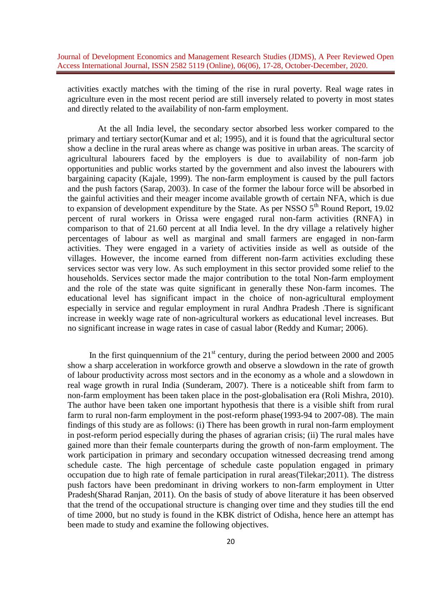activities exactly matches with the timing of the rise in rural poverty. Real wage rates in agriculture even in the most recent period are still inversely related to poverty in most states and directly related to the availability of non-farm employment.

 At the all India level, the secondary sector absorbed less worker compared to the primary and tertiary sector(Kumar and et al; 1995), and it is found that the agricultural sector show a decline in the rural areas where as change was positive in urban areas. The scarcity of agricultural labourers faced by the employers is due to availability of non-farm job opportunities and public works started by the government and also invest the labourers with bargaining capacity (Kajale, 1999). The non-farm employment is caused by the pull factors and the push factors (Sarap, 2003). In case of the former the labour force will be absorbed in the gainful activities and their meager income available growth of certain NFA, which is due to expansion of development expenditure by the State. As per NSSO  $5<sup>th</sup>$  Round Report, 19.02 percent of rural workers in Orissa were engaged rural non-farm activities (RNFA) in comparison to that of 21.60 percent at all India level. In the dry village a relatively higher percentages of labour as well as marginal and small farmers are engaged in non-farm activities. They were engaged in a variety of activities inside as well as outside of the villages. However, the income earned from different non-farm activities excluding these services sector was very low. As such employment in this sector provided some relief to the households. Services sector made the major contribution to the total Non-farm employment and the role of the state was quite significant in generally these Non-farm incomes. The educational level has significant impact in the choice of non-agricultural employment especially in service and regular employment in rural Andhra Pradesh .There is significant increase in weekly wage rate of non-agricultural workers as educational level increases. But no significant increase in wage rates in case of casual labor (Reddy and Kumar; 2006).

In the first quinquennium of the  $21<sup>st</sup>$  century, during the period between 2000 and 2005 show a sharp acceleration in workforce growth and observe a slowdown in the rate of growth of labour productivity across most sectors and in the economy as a whole and a slowdown in real wage growth in rural India (Sunderam, 2007). There is a noticeable shift from farm to non-farm employment has been taken place in the post-globalisation era (Roli Mishra, 2010). The author have been taken one important hypothesis that there is a visible shift from rural farm to rural non-farm employment in the post-reform phase(1993-94 to 2007-08). The main findings of this study are as follows: (i) There has been growth in rural non-farm employment in post-reform period especially during the phases of agrarian crisis; (ii) The rural males have gained more than their female counterparts during the growth of non-farm employment. The work participation in primary and secondary occupation witnessed decreasing trend among schedule caste. The high percentage of schedule caste population engaged in primary occupation due to high rate of female participation in rural areas(Tilekar;2011). The distress push factors have been predominant in driving workers to non-farm employment in Utter Pradesh(Sharad Ranjan, 2011). On the basis of study of above literature it has been observed that the trend of the occupational structure is changing over time and they studies till the end of time 2000, but no study is found in the KBK district of Odisha, hence here an attempt has been made to study and examine the following objectives.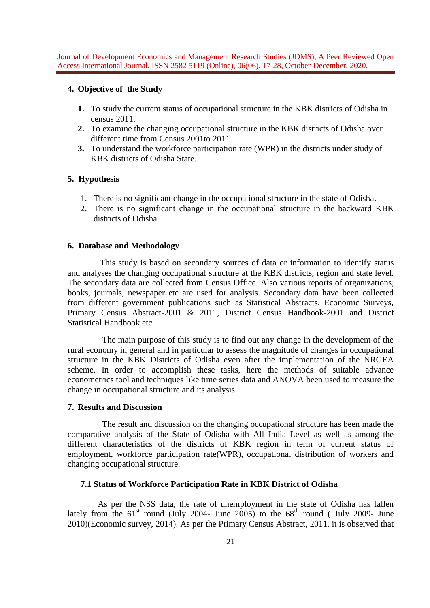### **4. Objective of the Study**

- **1.** To study the current status of occupational structure in the KBK districts of Odisha in census 2011.
- **2.** To examine the changing occupational structure in the KBK districts of Odisha over different time from Census 2001to 2011.
- **3.** To understand the workforce participation rate (WPR) in the districts under study of KBK districts of Odisha State.

## **5. Hypothesis**

- 1. There is no significant change in the occupational structure in the state of Odisha.
- 2. There is no significant change in the occupational structure in the backward KBK districts of Odisha.

## **6. Database and Methodology**

This study is based on secondary sources of data or information to identify status and analyses the changing occupational structure at the KBK districts, region and state level. The secondary data are collected from Census Office. Also various reports of organizations, books, journals, newspaper etc are used for analysis. Secondary data have been collected from different government publications such as Statistical Abstracts, Economic Surveys, Primary Census Abstract-2001 & 2011, District Census Handbook-2001 and District Statistical Handbook etc.

The main purpose of this study is to find out any change in the development of the rural economy in general and in particular to assess the magnitude of changes in occupational structure in the KBK Districts of Odisha even after the implementation of the NRGEA scheme. In order to accomplish these tasks, here the methods of suitable advance econometrics tool and techniques like time series data and ANOVA been used to measure the change in occupational structure and its analysis.

# **7. Results and Discussion**

 The result and discussion on the changing occupational structure has been made the comparative analysis of the State of Odisha with All India Level as well as among the different characteristics of the districts of KBK region in term of current status of employment, workforce participation rate(WPR), occupational distribution of workers and changing occupational structure.

## **7.1 Status of Workforce Participation Rate in KBK District of Odisha**

 As per the NSS data, the rate of unemployment in the state of Odisha has fallen lately from the  $61<sup>st</sup>$  round (July 2004- June 2005) to the  $68<sup>th</sup>$  round (July 2009- June 2010)(Economic survey, 2014). As per the Primary Census Abstract, 2011, it is observed that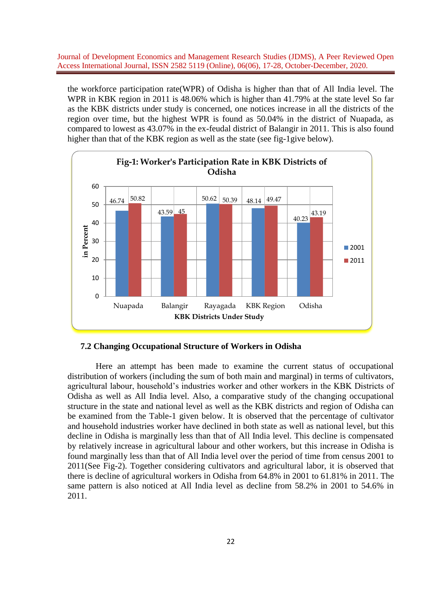the workforce participation rate(WPR) of Odisha is higher than that of All India level. The WPR in KBK region in 2011 is 48.06% which is higher than 41.79% at the state level So far as the KBK districts under study is concerned, one notices increase in all the districts of the region over time, but the highest WPR is found as 50.04% in the district of Nuapada, as compared to lowest as 43.07% in the ex-feudal district of Balangir in 2011. This is also found higher than that of the KBK region as well as the state (see fig-1give below).



**7.2 Changing Occupational Structure of Workers in Odisha** 

 Here an attempt has been made to examine the current status of occupational distribution of workers (including the sum of both main and marginal) in terms of cultivators, agricultural labour, household's industries worker and other workers in the KBK Districts of Odisha as well as All India level. Also, a comparative study of the changing occupational structure in the state and national level as well as the KBK districts and region of Odisha can be examined from the Table-1 given below. It is observed that the percentage of cultivator and household industries worker have declined in both state as well as national level, but this decline in Odisha is marginally less than that of All India level. This decline is compensated by relatively increase in agricultural labour and other workers, but this increase in Odisha is found marginally less than that of All India level over the period of time from census 2001 to 2011(See Fig-2). Together considering cultivators and agricultural labor, it is observed that there is decline of agricultural workers in Odisha from 64.8% in 2001 to 61.81% in 2011. The same pattern is also noticed at All India level as decline from 58.2% in 2001 to 54.6% in 2011.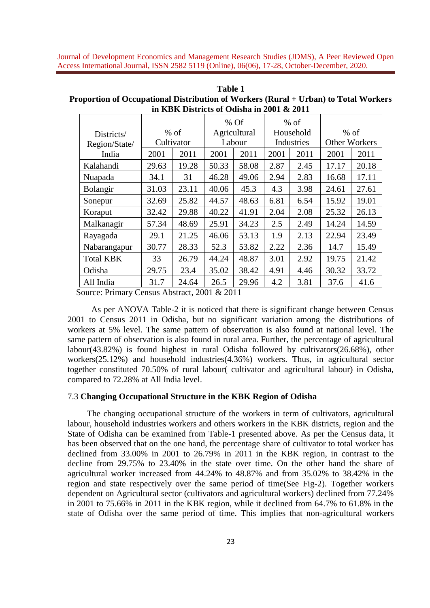| Table 1                                                                             |
|-------------------------------------------------------------------------------------|
| Proportion of Occupational Distribution of Workers (Rural + Urban) to Total Workers |
| in KBK Districts of Odisha in 2001 & 2011                                           |

|                  |                      |       |              | $%$ Of |            | $%$ of |                      |       |
|------------------|----------------------|-------|--------------|--------|------------|--------|----------------------|-------|
| Districts/       | $%$ of<br>Cultivator |       | Agricultural |        | Household  |        | $%$ of               |       |
| Region/State/    |                      |       | Labour       |        | Industries |        | <b>Other Workers</b> |       |
| India            | 2001                 | 2011  | 2001         | 2011   | 2001       | 2011   | 2001                 | 2011  |
| Kalahandi        | 29.63                | 19.28 | 50.33        | 58.08  | 2.87       | 2.45   | 17.17                | 20.18 |
| Nuapada          | 34.1                 | 31    | 46.28        | 49.06  | 2.94       | 2.83   | 16.68                | 17.11 |
| <b>Bolangir</b>  | 31.03                | 23.11 | 40.06        | 45.3   | 4.3        | 3.98   | 24.61                | 27.61 |
| Sonepur          | 32.69                | 25.82 | 44.57        | 48.63  | 6.81       | 6.54   | 15.92                | 19.01 |
| Koraput          | 32.42                | 29.88 | 40.22        | 41.91  | 2.04       | 2.08   | 25.32                | 26.13 |
| Malkanagir       | 57.34                | 48.69 | 25.91        | 34.23  | 2.5        | 2.49   | 14.24                | 14.59 |
| Rayagada         | 29.1                 | 21.25 | 46.06        | 53.13  | 1.9        | 2.13   | 22.94                | 23.49 |
| Nabarangapur     | 30.77                | 28.33 | 52.3         | 53.82  | 2.22       | 2.36   | 14.7                 | 15.49 |
| <b>Total KBK</b> | 33                   | 26.79 | 44.24        | 48.87  | 3.01       | 2.92   | 19.75                | 21.42 |
| Odisha           | 29.75                | 23.4  | 35.02        | 38.42  | 4.91       | 4.46   | 30.32                | 33.72 |
| All India        | 31.7                 | 24.64 | 26.5         | 29.96  | 4.2        | 3.81   | 37.6                 | 41.6  |

Source: Primary Census Abstract, 2001 & 2011

 As per ANOVA Table-2 it is noticed that there is significant change between Census 2001 to Census 2011 in Odisha, but no significant variation among the distributions of workers at 5% level. The same pattern of observation is also found at national level. The same pattern of observation is also found in rural area. Further, the percentage of agricultural labour(43.82%) is found highest in rural Odisha followed by cultivators(26.68%), other workers(25.12%) and household industries(4.36%) workers. Thus, in agricultural sector together constituted 70.50% of rural labour( cultivator and agricultural labour) in Odisha, compared to 72.28% at All India level.

### 7.3 **Changing Occupational Structure in the KBK Region of Odisha**

 The changing occupational structure of the workers in term of cultivators, agricultural labour, household industries workers and others workers in the KBK districts, region and the State of Odisha can be examined from Table-1 presented above. As per the Census data, it has been observed that on the one hand, the percentage share of cultivator to total worker has declined from 33.00% in 2001 to 26.79% in 2011 in the KBK region, in contrast to the decline from 29.75% to 23.40% in the state over time. On the other hand the share of agricultural worker increased from 44.24% to 48.87% and from 35.02% to 38.42% in the region and state respectively over the same period of time(See Fig-2). Together workers dependent on Agricultural sector (cultivators and agricultural workers) declined from 77.24% in 2001 to 75.66% in 2011 in the KBK region, while it declined from 64.7% to 61.8% in the state of Odisha over the same period of time. This implies that non-agricultural workers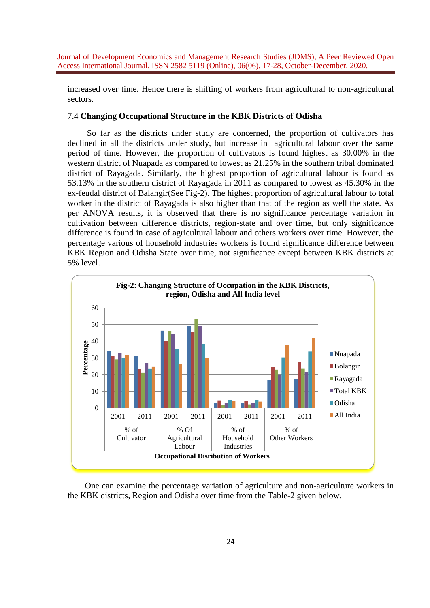increased over time. Hence there is shifting of workers from agricultural to non-agricultural sectors.

### 7.4 **Changing Occupational Structure in the KBK Districts of Odisha**

 So far as the districts under study are concerned, the proportion of cultivators has declined in all the districts under study, but increase in agricultural labour over the same period of time. However, the proportion of cultivators is found highest as 30.00% in the western district of Nuapada as compared to lowest as 21.25% in the southern tribal dominated district of Rayagada. Similarly, the highest proportion of agricultural labour is found as 53.13% in the southern district of Rayagada in 2011 as compared to lowest as 45.30% in the ex-feudal district of Balangir(See Fig-2). The highest proportion of agricultural labour to total worker in the district of Rayagada is also higher than that of the region as well the state. As per ANOVA results, it is observed that there is no significance percentage variation in cultivation between difference districts, region-state and over time, but only significance difference is found in case of agricultural labour and others workers over time. However, the percentage various of household industries workers is found significance difference between KBK Region and Odisha State over time, not significance except between KBK districts at 5% level.



 One can examine the percentage variation of agriculture and non-agriculture workers in the KBK districts, Region and Odisha over time from the Table-2 given below.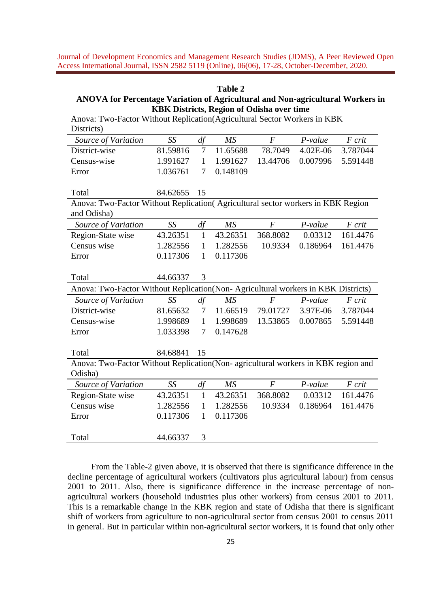#### **Table 2**

# **ANOVA for Percentage Variation of Agricultural and Non-agricultural Workers in KBK Districts, Region of Odisha over time**

| Aliova. I WO-Factor Without Replication Agricultural Sector Workers III RDR<br>Districts) |          |              |          |                  |           |          |  |  |  |  |  |
|-------------------------------------------------------------------------------------------|----------|--------------|----------|------------------|-----------|----------|--|--|--|--|--|
| Source of Variation                                                                       | SS       | df           | MS       | $\overline{F}$   | P-value   | F crit   |  |  |  |  |  |
| District-wise                                                                             | 81.59816 | 7            | 11.65688 | 78.7049          | 4.02E-06  | 3.787044 |  |  |  |  |  |
| Census-wise                                                                               | 1.991627 | $\mathbf{1}$ | 1.991627 | 13.44706         | 0.007996  | 5.591448 |  |  |  |  |  |
| Error                                                                                     | 1.036761 | 7            | 0.148109 |                  |           |          |  |  |  |  |  |
|                                                                                           |          |              |          |                  |           |          |  |  |  |  |  |
| Total                                                                                     | 84.62655 | 15           |          |                  |           |          |  |  |  |  |  |
| Anova: Two-Factor Without Replication(Agricultural sector workers in KBK Region           |          |              |          |                  |           |          |  |  |  |  |  |
| and Odisha)                                                                               |          |              |          |                  |           |          |  |  |  |  |  |
| Source of Variation                                                                       | SS       | df           | MS       | $\boldsymbol{F}$ | P-value   | F crit   |  |  |  |  |  |
| Region-State wise                                                                         | 43.26351 | $\mathbf{1}$ | 43.26351 | 368.8082         | 0.03312   | 161.4476 |  |  |  |  |  |
| Census wise                                                                               | 1.282556 | $\mathbf{1}$ | 1.282556 | 10.9334          | 0.186964  | 161.4476 |  |  |  |  |  |
| Error                                                                                     | 0.117306 | $\mathbf{1}$ | 0.117306 |                  |           |          |  |  |  |  |  |
|                                                                                           |          |              |          |                  |           |          |  |  |  |  |  |
| Total                                                                                     | 44.66337 | 3            |          |                  |           |          |  |  |  |  |  |
| Anova: Two-Factor Without Replication(Non-Agricultural workers in KBK Districts)          |          |              |          |                  |           |          |  |  |  |  |  |
| Source of Variation                                                                       | SS       | df           | MS       | $\overline{F}$   | P-value   | F crit   |  |  |  |  |  |
| District-wise                                                                             | 81.65632 | 7            | 11.66519 | 79.01727         | 3.97E-06  | 3.787044 |  |  |  |  |  |
| Census-wise                                                                               | 1.998689 | $\mathbf{1}$ | 1.998689 | 13.53865         | 0.007865  | 5.591448 |  |  |  |  |  |
| Error                                                                                     | 1.033398 | 7            | 0.147628 |                  |           |          |  |  |  |  |  |
|                                                                                           |          |              |          |                  |           |          |  |  |  |  |  |
| Total                                                                                     | 84.68841 | 15           |          |                  |           |          |  |  |  |  |  |
| Anova: Two-Factor Without Replication(Non- agricultural workers in KBK region and         |          |              |          |                  |           |          |  |  |  |  |  |
| Odisha)                                                                                   |          |              |          |                  |           |          |  |  |  |  |  |
| Source of Variation                                                                       | SS       | df           | MS       | $\boldsymbol{F}$ | $P-value$ | F crit   |  |  |  |  |  |
| Region-State wise                                                                         | 43.26351 | $\mathbf{1}$ | 43.26351 | 368.8082         | 0.03312   | 161.4476 |  |  |  |  |  |
| Census wise                                                                               | 1.282556 | $\mathbf{1}$ | 1.282556 | 10.9334          | 0.186964  | 161.4476 |  |  |  |  |  |
| Error                                                                                     | 0.117306 | $\mathbf{1}$ | 0.117306 |                  |           |          |  |  |  |  |  |
|                                                                                           |          |              |          |                  |           |          |  |  |  |  |  |
| Total                                                                                     | 44.66337 | 3            |          |                  |           |          |  |  |  |  |  |

Anova: Two-Factor Without Replication(Agricultural Sector Workers in KBK

 From the Table-2 given above, it is observed that there is significance difference in the decline percentage of agricultural workers (cultivators plus agricultural labour) from census 2001 to 2011. Also, there is significance difference in the increase percentage of nonagricultural workers (household industries plus other workers) from census 2001 to 2011. This is a remarkable change in the KBK region and state of Odisha that there is significant shift of workers from agriculture to non-agricultural sector from census 2001 to census 2011 in general. But in particular within non-agricultural sector workers, it is found that only other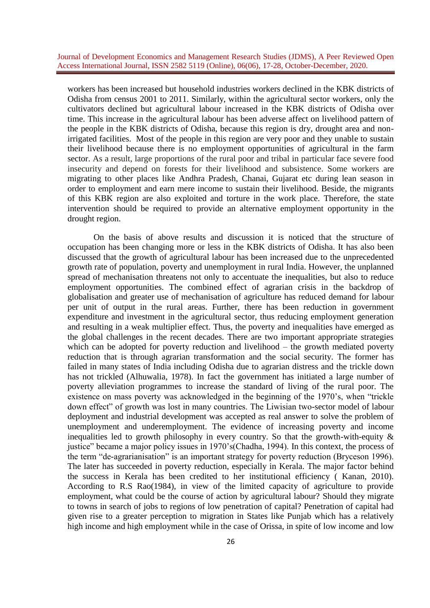workers has been increased but household industries workers declined in the KBK districts of Odisha from census 2001 to 2011. Similarly, within the agricultural sector workers, only the cultivators declined but agricultural labour increased in the KBK districts of Odisha over time. This increase in the agricultural labour has been adverse affect on livelihood pattern of the people in the KBK districts of Odisha, because this region is dry, drought area and nonirrigated facilities. Most of the people in this region are very poor and they unable to sustain their livelihood because there is no employment opportunities of agricultural in the farm sector. As a result, large proportions of the rural poor and tribal in particular face severe food insecurity and depend on forests for their livelihood and subsistence. Some workers are migrating to other places like Andhra Pradesh, Chanai, Gujarat etc during lean season in order to employment and earn mere income to sustain their livelihood. Beside, the migrants of this KBK region are also exploited and torture in the work place. Therefore, the state intervention should be required to provide an alternative employment opportunity in the drought region.

On the basis of above results and discussion it is noticed that the structure of occupation has been changing more or less in the KBK districts of Odisha. It has also been discussed that the growth of agricultural labour has been increased due to the unprecedented growth rate of population, poverty and unemployment in rural India. However, the unplanned spread of mechanisation threatens not only to accentuate the inequalities, but also to reduce employment opportunities. The combined effect of agrarian crisis in the backdrop of globalisation and greater use of mechanisation of agriculture has reduced demand for labour per unit of output in the rural areas. Further, there has been reduction in government expenditure and investment in the agricultural sector, thus reducing employment generation and resulting in a weak multiplier effect. Thus, the poverty and inequalities have emerged as the global challenges in the recent decades. There are two important appropriate strategies which can be adopted for poverty reduction and livelihood – the growth mediated poverty reduction that is through agrarian transformation and the social security. The former has failed in many states of India including Odisha due to agrarian distress and the trickle down has not trickled (Alhuwalia, 1978). In fact the government has initiated a large number of poverty alleviation programmes to increase the standard of living of the rural poor. The existence on mass poverty was acknowledged in the beginning of the 1970's, when "trickle down effect" of growth was lost in many countries. The Liwisian two-sector model of labour deployment and industrial development was accepted as real answer to solve the problem of unemployment and underemployment. The evidence of increasing poverty and income inequalities led to growth philosophy in every country. So that the growth-with-equity & justice" became a major policy issues in 1970's(Chadha, 1994). In this context, the process of the term "de-agrarianisation" is an important strategy for poverty reduction (Bryceson 1996). The later has succeeded in poverty reduction, especially in Kerala. The major factor behind the success in Kerala has been credited to her institutional efficiency ( Kanan, 2010). According to R.S Rao(1984), in view of the limited capacity of agriculture to provide employment, what could be the course of action by agricultural labour? Should they migrate to towns in search of jobs to regions of low penetration of capital? Penetration of capital had given rise to a greater perception to migration in States like Punjab which has a relatively high income and high employment while in the case of Orissa, in spite of low income and low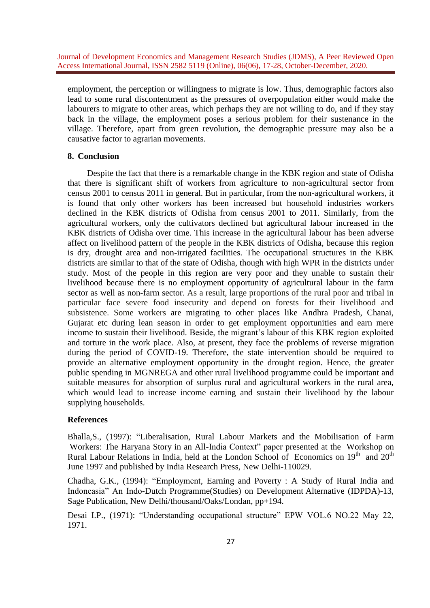employment, the perception or willingness to migrate is low. Thus, demographic factors also lead to some rural discontentment as the pressures of overpopulation either would make the labourers to migrate to other areas, which perhaps they are not willing to do, and if they stay back in the village, the employment poses a serious problem for their sustenance in the village. Therefore, apart from green revolution, the demographic pressure may also be a causative factor to agrarian movements.

### **8. Conclusion**

 Despite the fact that there is a remarkable change in the KBK region and state of Odisha that there is significant shift of workers from agriculture to non-agricultural sector from census 2001 to census 2011 in general. But in particular, from the non-agricultural workers, it is found that only other workers has been increased but household industries workers declined in the KBK districts of Odisha from census 2001 to 2011. Similarly, from the agricultural workers, only the cultivators declined but agricultural labour increased in the KBK districts of Odisha over time. This increase in the agricultural labour has been adverse affect on livelihood pattern of the people in the KBK districts of Odisha, because this region is dry, drought area and non-irrigated facilities. The occupational structures in the KBK districts are similar to that of the state of Odisha, though with high WPR in the districts under study. Most of the people in this region are very poor and they unable to sustain their livelihood because there is no employment opportunity of agricultural labour in the farm sector as well as non-farm sector. As a result, large proportions of the rural poor and tribal in particular face severe food insecurity and depend on forests for their livelihood and subsistence. Some workers are migrating to other places like Andhra Pradesh, Chanai, Gujarat etc during lean season in order to get employment opportunities and earn mere income to sustain their livelihood. Beside, the migrant's labour of this KBK region exploited and torture in the work place. Also, at present, they face the problems of reverse migration during the period of COVID-19. Therefore, the state intervention should be required to provide an alternative employment opportunity in the drought region. Hence, the greater public spending in MGNREGA and other rural livelihood programme could be important and suitable measures for absorption of surplus rural and agricultural workers in the rural area, which would lead to increase income earning and sustain their livelihood by the labour supplying households.

### **References**

Bhalla,S., (1997): "Liberalisation, Rural Labour Markets and the Mobilisation of Farm Workers: The Haryana Story in an All-India Context" paper presented at the Workshop on Rural Labour Relations in India, held at the London School of Economics on  $19<sup>th</sup>$  and  $20<sup>th</sup>$ June 1997 and published by India Research Press, New Delhi-110029.

Chadha, G.K., (1994): "Employment, Earning and Poverty : A Study of Rural India and Indoneasia" An Indo-Dutch Programme(Studies) on Development Alternative (IDPDA)-13, Sage Publication, New Delhi/thousand/Oaks/Londan, pp+194.

Desai I.P., (1971): "Understanding occupational structure" EPW VOL.6 NO.22 May 22, 1971.